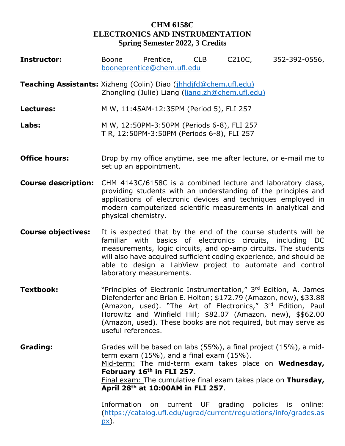## **CHM 6158C ELECTRONICS AND INSTRUMENTATION Spring Semester 2022, 3 Credits**

| <b>Instructor:</b>                                               | <b>Boone</b>                | Prentice,<br>booneprentice@chem.ufl.edu                                                                            | <b>CLB</b> | C210C,              | 352-392-0556,                                                                                                                                                                                                                                                                                                                                       |
|------------------------------------------------------------------|-----------------------------|--------------------------------------------------------------------------------------------------------------------|------------|---------------------|-----------------------------------------------------------------------------------------------------------------------------------------------------------------------------------------------------------------------------------------------------------------------------------------------------------------------------------------------------|
| Teaching Assistants: Xizheng (Colin) Diao (jhhdjfd@chem.ufl.edu) |                             | Zhongling (Julie) Liang (liang.zh@chem.ufl.edu)                                                                    |            |                     |                                                                                                                                                                                                                                                                                                                                                     |
| Lectures:                                                        |                             | M W, 11:45AM-12:35PM (Period 5), FLI 257                                                                           |            |                     |                                                                                                                                                                                                                                                                                                                                                     |
| Labs:                                                            |                             | M W, 12:50PM-3:50PM (Periods 6-8), FLI 257<br>T R, 12:50PM-3:50PM (Periods 6-8), FLI 257                           |            |                     |                                                                                                                                                                                                                                                                                                                                                     |
| <b>Office hours:</b>                                             |                             | set up an appointment.                                                                                             |            |                     | Drop by my office anytime, see me after lecture, or e-mail me to                                                                                                                                                                                                                                                                                    |
| <b>Course description:</b>                                       | physical chemistry.         |                                                                                                                    |            |                     | CHM 4143C/6158C is a combined lecture and laboratory class,<br>providing students with an understanding of the principles and<br>applications of electronic devices and techniques employed in<br>modern computerized scientific measurements in analytical and                                                                                     |
| <b>Course objectives:</b>                                        | familiar with               | laboratory measurements.                                                                                           |            |                     | It is expected that by the end of the course students will be<br>basics of electronics circuits, including DC<br>measurements, logic circuits, and op-amp circuits. The students<br>will also have acquired sufficient coding experience, and should be<br>able to design a LabView project to automate and control                                 |
| <b>Textbook:</b>                                                 | useful references.          |                                                                                                                    |            |                     | "Principles of Electronic Instrumentation," 3rd Edition, A. James<br>Diefenderfer and Brian E. Holton; \$172.79 (Amazon, new), \$33.88<br>(Amazon, used). "The Art of Electronics," 3 <sup>rd</sup> Edition, Paul<br>Horowitz and Winfield Hill; \$82.07 (Amazon, new), \$\$62.00<br>(Amazon, used). These books are not required, but may serve as |
| Grading:                                                         |                             | term exam $(15\%)$ , and a final exam $(15\%)$ .<br>February 16th in FLI 257.<br>April 28th at 10:00AM in FLI 257. |            |                     | Grades will be based on labs (55%), a final project (15%), a mid-<br>Mid-term: The mid-term exam takes place on Wednesday,<br>Final exam: The cumulative final exam takes place on Thursday,                                                                                                                                                        |
|                                                                  | Information<br><u>px</u> ). | on                                                                                                                 | current UF | grading policies is | online:<br>(https://catalog.ufl.edu/ugrad/current/regulations/info/grades.as                                                                                                                                                                                                                                                                        |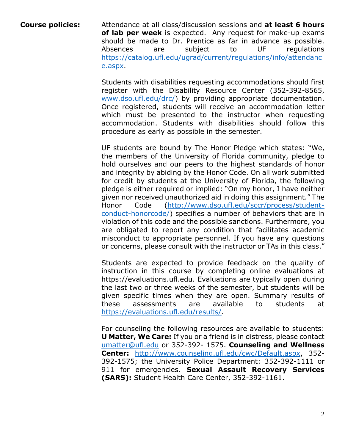**Course policies:** Attendance at all class/discussion sessions and **at least 6 hours of lab per week** is expected. Any request for make-up exams should be made to Dr. Prentice as far in advance as possible. Absences are subject to UF regulations [https://catalog.ufl.edu/ugrad/current/regulations/info/attendanc](https://catalog.ufl.edu/ugrad/current/regulations/info/attendance.aspx) [e.aspx.](https://catalog.ufl.edu/ugrad/current/regulations/info/attendance.aspx)

> Students with disabilities requesting accommodations should first register with the Disability Resource Center (352-392-8565, [www.dso.ufl.edu/drc/\)](http://www.dso.ufl.edu/drc/) by providing appropriate documentation. Once registered, students will receive an accommodation letter which must be presented to the instructor when requesting accommodation. Students with disabilities should follow this procedure as early as possible in the semester.

> UF students are bound by The Honor Pledge which states: "We, the members of the University of Florida community, pledge to hold ourselves and our peers to the highest standards of honor and integrity by abiding by the Honor Code. On all work submitted for credit by students at the University of Florida, the following pledge is either required or implied: "On my honor, I have neither given nor received unauthorized aid in doing this assignment." The Honor Code [\(http://www.dso.ufl.edu/sccr/process/student](http://www.dso.ufl.edu/sccr/process/student-conduct-honorcode/)[conduct-honorcode/\)](http://www.dso.ufl.edu/sccr/process/student-conduct-honorcode/) specifies a number of behaviors that are in violation of this code and the possible sanctions. Furthermore, you are obligated to report any condition that facilitates academic misconduct to appropriate personnel. If you have any questions or concerns, please consult with the instructor or TAs in this class."

> Students are expected to provide feedback on the quality of instruction in this course by completing online evaluations at https://evaluations.ufl.edu. Evaluations are typically open during the last two or three weeks of the semester, but students will be given specific times when they are open. Summary results of these assessments are available to students at [https://evaluations.ufl.edu/results/.](https://evaluations.ufl.edu/results/)

> For counseling the following resources are available to students: **U Matter, We Care:** If you or a friend is in distress, please contact [umatter@ufl.edu](mailto:umatter@ufl.edu) or 352-392- 1575. **Counseling and Wellness Center:** [http://www.counseling.ufl.edu/cwc/Default.aspx,](http://www.counseling.ufl.edu/cwc/Default.aspx) 352- 392-1575; the University Police Department: 352-392-1111 or 911 for emergencies. **Sexual Assault Recovery Services (SARS):** Student Health Care Center, 352-392-1161.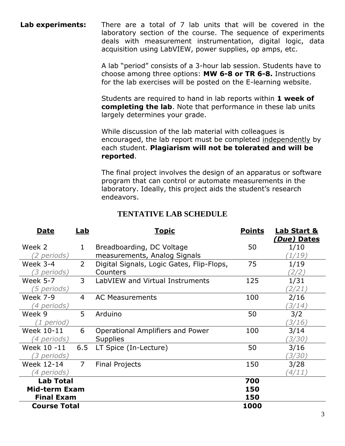**Lab experiments:** There are a total of 7 lab units that will be covered in the laboratory section of the course. The sequence of experiments deals with measurement instrumentation, digital logic, data acquisition using LabVIEW, power supplies, op amps, etc.

> A lab "period" consists of a 3-hour lab session. Students have to choose among three options: **MW 6-8 or TR 6-8.** Instructions for the lab exercises will be posted on the E-learning website.

Students are required to hand in lab reports within **1 week of completing the lab**. Note that performance in these lab units largely determines your grade.

While discussion of the lab material with colleagues is encouraged, the lab report must be completed independently by each student. **Plagiarism will not be tolerated and will be reported**.

The final project involves the design of an apparatus or software program that can control or automate measurements in the laboratory. Ideally, this project aids the student's research endeavors.

| <b>TENTATIVE LAB SCHEDULE</b> |
|-------------------------------|
|                               |

| <u>Date</u><br><u>Lab</u> |                | <u>Topic</u>                              | <b>Points</b><br><b>Lab Start &amp;</b> |             |
|---------------------------|----------------|-------------------------------------------|-----------------------------------------|-------------|
|                           |                |                                           |                                         | (Due) Dates |
| Week 2                    | 1              | Breadboarding, DC Voltage                 | 50                                      | 1/10        |
| <i>(2 periods)</i>        |                | measurements, Analog Signals              |                                         | ้ 1/19)     |
| Week 3-4                  | $\overline{2}$ | Digital Signals, Logic Gates, Flip-Flops, | 75                                      | 1/19        |
| (3 periods)               |                | Counters                                  |                                         | 2/2)        |
| <b>Week 5-7</b>           | $\overline{3}$ | LabVIEW and Virtual Instruments           | 125<br>1/31                             |             |
| <i>'5 periods)</i>        |                |                                           |                                         | 2/21)       |
| <b>Week 7-9</b>           | $\overline{4}$ | <b>AC Measurements</b>                    | 100                                     | 2/16        |
| (4 periods)               |                |                                           |                                         | (3/14)      |
| Week 9                    | 5              | Arduino                                   | 50                                      | 3/2         |
| (1 period)                |                |                                           |                                         | (3/16)      |
| Week 10-11                | 6              | Operational Amplifiers and Power          | 100                                     | 3/14        |
| <i>'4 periods)</i>        |                | <b>Supplies</b>                           |                                         | (3/30)      |
| Week 10 -11               | 6.5            | LT Spice (In-Lecture)                     | 50                                      | 3/16        |
| <i>(3 periods)</i>        |                |                                           |                                         | (3/30)      |
| Week 12-14                | $\overline{7}$ | <b>Final Projects</b>                     | 150                                     | 3/28        |
| <i>'4 periods)</i>        |                |                                           |                                         | (4/11)      |
| <b>Lab Total</b>          |                |                                           | 700                                     |             |
| <b>Mid-term Exam</b>      |                | 150                                       |                                         |             |
| <b>Final Exam</b>         |                |                                           | 150                                     |             |
| <b>Course Total</b>       |                |                                           | 1000                                    |             |